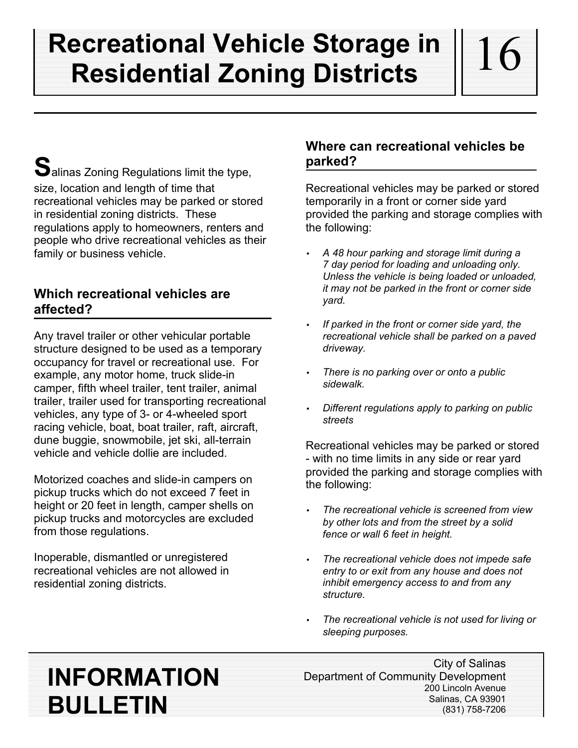# **Recreational Vehicle Storage in Residential Zoning Districts** 16

**alinas Zoning Regulations limit the type,** size, location and length of time that recreational vehicles may be parked or stored in residential zoning districts. These regulations apply to homeowners, renters and people who drive recreational vehicles as their family or business vehicle.

### **Which recreational vehicles are affected?**

Any travel trailer or other vehicular portable structure designed to be used as a temporary occupancy for travel or recreational use. For example, any motor home, truck slide-in camper, fifth wheel trailer, tent trailer, animal trailer, trailer used for transporting recreational vehicles, any type of 3- or 4-wheeled sport racing vehicle, boat, boat trailer, raft, aircraft, dune buggie, snowmobile, jet ski, all-terrain vehicle and vehicle dollie are included.

Motorized coaches and slide-in campers on pickup trucks which do not exceed 7 feet in height or 20 feet in length, camper shells on pickup trucks and motorcycles are excluded from those regulations.

Inoperable, dismantled or unregistered recreational vehicles are not allowed in residential zoning districts.

#### **Where can recreational vehicles be parked?**

Recreational vehicles may be parked or stored temporarily in a front or corner side yard provided the parking and storage complies with the following:

- *A 48 hour parking and storage limit during a 7 day period for loading and unloading only. Unless the vehicle is being loaded or unloaded, it may not be parked in the front or corner side yard.*
- *If parked in the front or corner side yard, the recreational vehicle shall be parked on a paved driveway.*
- *There is no parking over or onto a public sidewalk.*
- *Different regulations apply to parking on public streets*

Recreational vehicles may be parked or stored - with no time limits in any side or rear yard provided the parking and storage complies with the following:

- *The recreational vehicle is screened from view by other lots and from the street by a solid fence or wall 6 feet in height.*
- *The recreational vehicle does not impede safe entry to or exit from any house and does not inhibit emergency access to and from any structure.*
- *The recreational vehicle is not used for living or sleeping purposes.*

## **INFORMATION BULLETIN**

City of Salinas Department of Community Development 200 Lincoln Avenue Salinas, CA 93901 (831) 758-7206